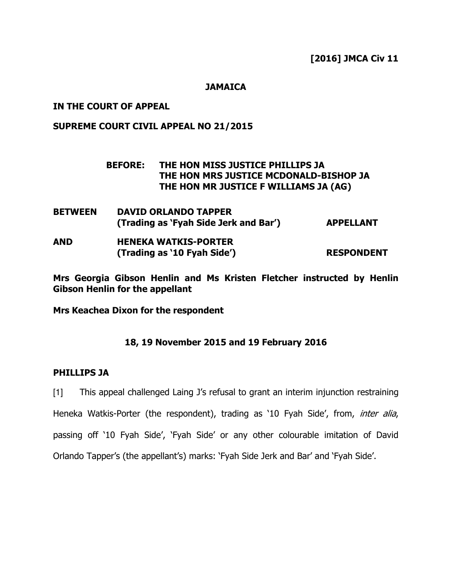[2016] JMCA Civ 11

### **JAMAICA**

## IN THE COURT OF APPEAL

## SUPREME COURT CIVIL APPEAL NO 21/2015

# BEFORE: THE HON MISS JUSTICE PHILLIPS JA THE HON MRS JUSTICE MCDONALD-BISHOP JA THE HON MR JUSTICE F WILLIAMS JA (AG)

BETWEEN DAVID ORLANDO TAPPER (Trading as 'Fyah Side Jerk and Bar') APPELLANT AND HENEKA WATKIS-PORTER (Trading as '10 Fyah Side') RESPONDENT

Mrs Georgia Gibson Henlin and Ms Kristen Fletcher instructed by Henlin Gibson Henlin for the appellant

Mrs Keachea Dixon for the respondent

## 18, 19 November 2015 and 19 February 2016

### PHILLIPS JA

[1] This appeal challenged Laing J's refusal to grant an interim injunction restraining Heneka Watkis-Porter (the respondent), trading as '10 Fyah Side', from, *inter alia*, passing off '10 Fyah Side', 'Fyah Side' or any other colourable imitation of David Orlando Tapper's (the appellant's) marks: 'Fyah Side Jerk and Bar' and 'Fyah Side'.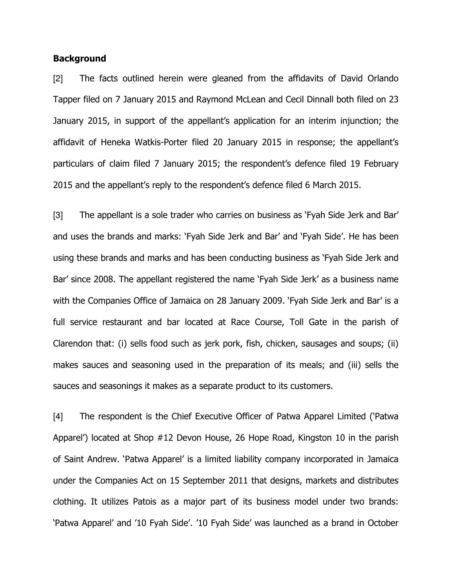#### **Background**

[2] The facts outlined herein were gleaned from the affidavits of David Orlando Tapper filed on 7 January 2015 and Raymond McLean and Cecil Dinnall both filed on 23 January 2015, in support of the appellant's application for an interim injunction; the affidavit of Heneka Watkis-Porter filed 20 January 2015 in response; the appellant's particulars of claim filed 7 January 2015; the respondent's defence filed 19 February 2015 and the appellant's reply to the respondent's defence filed 6 March 2015.

[3] The appellant is a sole trader who carries on business as 'Fyah Side Jerk and Bar' and uses the brands and marks: 'Fyah Side Jerk and Bar' and 'Fyah Side'. He has been using these brands and marks and has been conducting business as 'Fyah Side Jerk and Bar' since 2008. The appellant registered the name 'Fyah Side Jerk' as a business name with the Companies Office of Jamaica on 28 January 2009. 'Fyah Side Jerk and Bar' is a full service restaurant and bar located at Race Course, Toll Gate in the parish of Clarendon that: (i) sells food such as jerk pork, fish, chicken, sausages and soups; (ii) makes sauces and seasoning used in the preparation of its meals; and (iii) sells the sauces and seasonings it makes as a separate product to its customers.

[4] The respondent is the Chief Executive Officer of Patwa Apparel Limited ('Patwa Apparel') located at Shop #12 Devon House, 26 Hope Road, Kingston 10 in the parish of Saint Andrew. 'Patwa Apparel' is a limited liability company incorporated in Jamaica under the Companies Act on 15 September 2011 that designs, markets and distributes clothing. It utilizes Patois as a major part of its business model under two brands: 'Patwa Apparel' and '10 Fyah Side'. '10 Fyah Side' was launched as a brand in October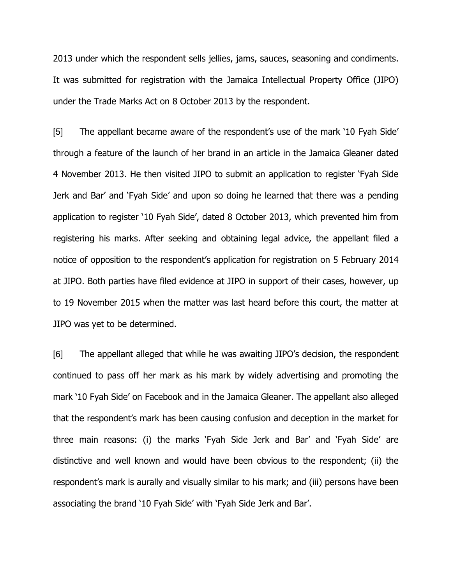2013 under which the respondent sells jellies, jams, sauces, seasoning and condiments. It was submitted for registration with the Jamaica Intellectual Property Office (JIPO) under the Trade Marks Act on 8 October 2013 by the respondent.

[5] The appellant became aware of the respondent's use of the mark '10 Fyah Side' through a feature of the launch of her brand in an article in the Jamaica Gleaner dated 4 November 2013. He then visited JIPO to submit an application to register 'Fyah Side Jerk and Bar' and 'Fyah Side' and upon so doing he learned that there was a pending application to register '10 Fyah Side', dated 8 October 2013, which prevented him from registering his marks. After seeking and obtaining legal advice, the appellant filed a notice of opposition to the respondent's application for registration on 5 February 2014 at JIPO. Both parties have filed evidence at JIPO in support of their cases, however, up to 19 November 2015 when the matter was last heard before this court, the matter at JIPO was yet to be determined.

[6] The appellant alleged that while he was awaiting JIPO's decision, the respondent continued to pass off her mark as his mark by widely advertising and promoting the mark '10 Fyah Side' on Facebook and in the Jamaica Gleaner. The appellant also alleged that the respondent's mark has been causing confusion and deception in the market for three main reasons: (i) the marks 'Fyah Side Jerk and Bar' and 'Fyah Side' are distinctive and well known and would have been obvious to the respondent; (ii) the respondent's mark is aurally and visually similar to his mark; and (iii) persons have been associating the brand '10 Fyah Side' with 'Fyah Side Jerk and Bar'.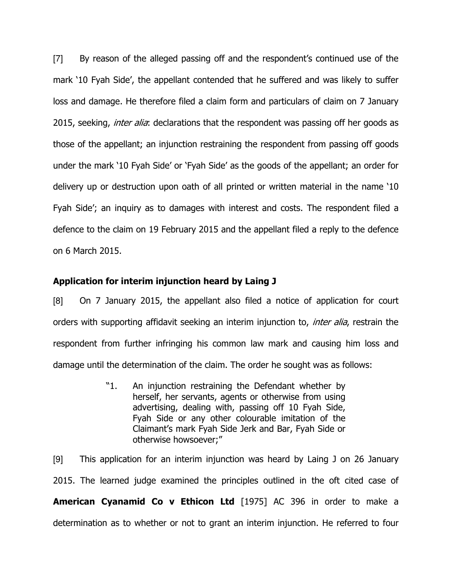[7] By reason of the alleged passing off and the respondent's continued use of the mark '10 Fyah Side', the appellant contended that he suffered and was likely to suffer loss and damage. He therefore filed a claim form and particulars of claim on 7 January 2015, seeking, *inter alia*: declarations that the respondent was passing off her goods as those of the appellant; an injunction restraining the respondent from passing off goods under the mark '10 Fyah Side' or 'Fyah Side' as the goods of the appellant; an order for delivery up or destruction upon oath of all printed or written material in the name '10 Fyah Side'; an inquiry as to damages with interest and costs. The respondent filed a defence to the claim on 19 February 2015 and the appellant filed a reply to the defence on 6 March 2015.

## Application for interim injunction heard by Laing J

[8] On 7 January 2015, the appellant also filed a notice of application for court orders with supporting affidavit seeking an interim injunction to, *inter alia*, restrain the respondent from further infringing his common law mark and causing him loss and damage until the determination of the claim. The order he sought was as follows:

> "1. An injunction restraining the Defendant whether by herself, her servants, agents or otherwise from using advertising, dealing with, passing off 10 Fyah Side, Fyah Side or any other colourable imitation of the Claimant's mark Fyah Side Jerk and Bar, Fyah Side or otherwise howsoever;"

[9] This application for an interim injunction was heard by Laing J on 26 January 2015. The learned judge examined the principles outlined in the oft cited case of American Cyanamid Co v Ethicon Ltd [1975] AC 396 in order to make a determination as to whether or not to grant an interim injunction. He referred to four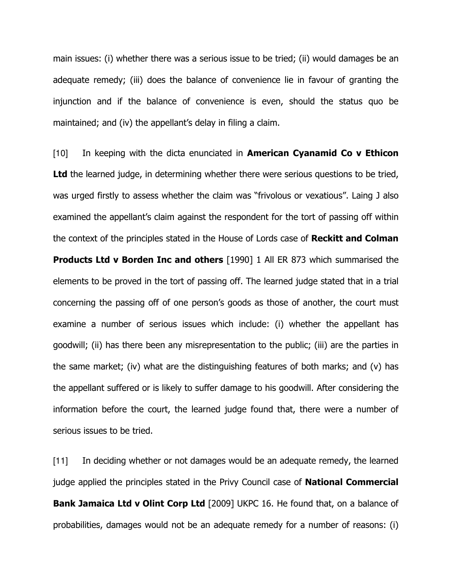main issues: (i) whether there was a serious issue to be tried; (ii) would damages be an adequate remedy; (iii) does the balance of convenience lie in favour of granting the injunction and if the balance of convenience is even, should the status quo be maintained; and (iv) the appellant's delay in filing a claim.

[10] In keeping with the dicta enunciated in **American Cyanamid Co v Ethicon** Ltd the learned judge, in determining whether there were serious questions to be tried, was urged firstly to assess whether the claim was "frivolous or vexatious". Laing J also examined the appellant's claim against the respondent for the tort of passing off within the context of the principles stated in the House of Lords case of Reckitt and Colman

**Products Ltd v Borden Inc and others** [1990] 1 All ER 873 which summarised the elements to be proved in the tort of passing off. The learned judge stated that in a trial concerning the passing off of one person's goods as those of another, the court must examine a number of serious issues which include: (i) whether the appellant has goodwill; (ii) has there been any misrepresentation to the public; (iii) are the parties in the same market; (iv) what are the distinguishing features of both marks; and (v) has the appellant suffered or is likely to suffer damage to his goodwill. After considering the information before the court, the learned judge found that, there were a number of serious issues to be tried.

[11] In deciding whether or not damages would be an adequate remedy, the learned judge applied the principles stated in the Privy Council case of **National Commercial Bank Jamaica Ltd v Olint Corp Ltd** [2009] UKPC 16. He found that, on a balance of probabilities, damages would not be an adequate remedy for a number of reasons: (i)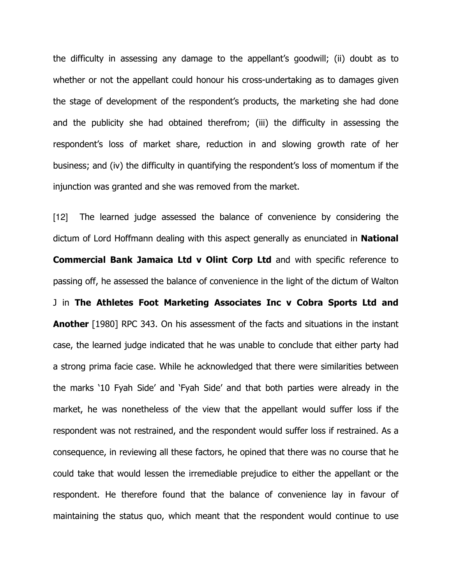the difficulty in assessing any damage to the appellant's goodwill; (ii) doubt as to whether or not the appellant could honour his cross-undertaking as to damages given the stage of development of the respondent's products, the marketing she had done and the publicity she had obtained therefrom; (iii) the difficulty in assessing the respondent's loss of market share, reduction in and slowing growth rate of her business; and (iv) the difficulty in quantifying the respondent's loss of momentum if the injunction was granted and she was removed from the market.

[12] The learned judge assessed the balance of convenience by considering the dictum of Lord Hoffmann dealing with this aspect generally as enunciated in **National** Commercial Bank Jamaica Ltd v Olint Corp Ltd and with specific reference to passing off, he assessed the balance of convenience in the light of the dictum of Walton J in The Athletes Foot Marketing Associates Inc v Cobra Sports Ltd and **Another** [1980] RPC 343. On his assessment of the facts and situations in the instant case, the learned judge indicated that he was unable to conclude that either party had a strong prima facie case. While he acknowledged that there were similarities between the marks '10 Fyah Side' and 'Fyah Side' and that both parties were already in the market, he was nonetheless of the view that the appellant would suffer loss if the respondent was not restrained, and the respondent would suffer loss if restrained. As a consequence, in reviewing all these factors, he opined that there was no course that he could take that would lessen the irremediable prejudice to either the appellant or the respondent. He therefore found that the balance of convenience lay in favour of maintaining the status quo, which meant that the respondent would continue to use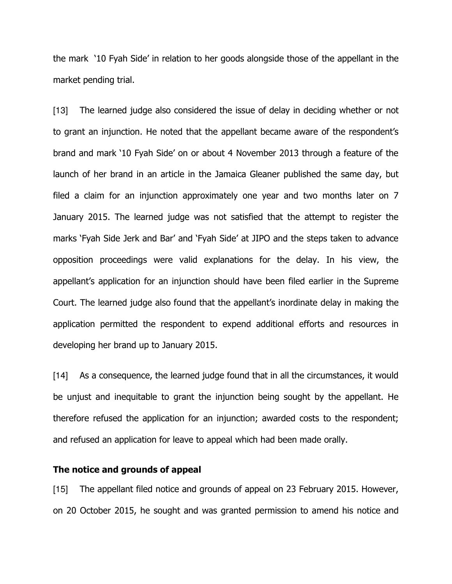the mark '10 Fyah Side' in relation to her goods alongside those of the appellant in the market pending trial.

[13] The learned judge also considered the issue of delay in deciding whether or not to grant an injunction. He noted that the appellant became aware of the respondent's brand and mark '10 Fyah Side' on or about 4 November 2013 through a feature of the launch of her brand in an article in the Jamaica Gleaner published the same day, but filed a claim for an injunction approximately one year and two months later on 7 January 2015. The learned judge was not satisfied that the attempt to register the marks 'Fyah Side Jerk and Bar' and 'Fyah Side' at JIPO and the steps taken to advance opposition proceedings were valid explanations for the delay. In his view, the appellant's application for an injunction should have been filed earlier in the Supreme Court. The learned judge also found that the appellant's inordinate delay in making the application permitted the respondent to expend additional efforts and resources in developing her brand up to January 2015.

[14] As a consequence, the learned judge found that in all the circumstances, it would be unjust and inequitable to grant the injunction being sought by the appellant. He therefore refused the application for an injunction; awarded costs to the respondent; and refused an application for leave to appeal which had been made orally.

## The notice and grounds of appeal

[15] The appellant filed notice and grounds of appeal on 23 February 2015. However, on 20 October 2015, he sought and was granted permission to amend his notice and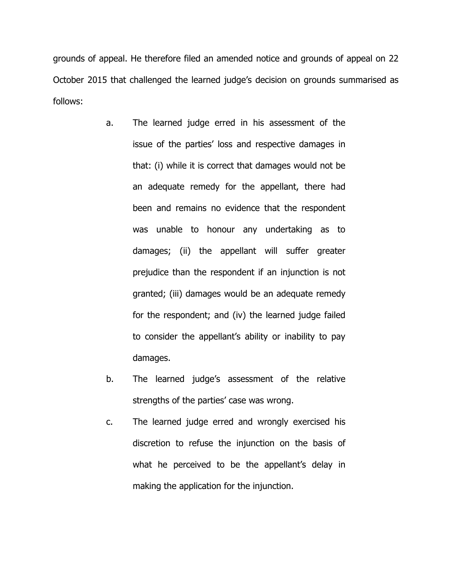grounds of appeal. He therefore filed an amended notice and grounds of appeal on 22 October 2015 that challenged the learned judge's decision on grounds summarised as follows:

- a. The learned judge erred in his assessment of the issue of the parties' loss and respective damages in that: (i) while it is correct that damages would not be an adequate remedy for the appellant, there had been and remains no evidence that the respondent was unable to honour any undertaking as to damages; (ii) the appellant will suffer greater prejudice than the respondent if an injunction is not granted; (iii) damages would be an adequate remedy for the respondent; and (iv) the learned judge failed to consider the appellant's ability or inability to pay damages.
- b. The learned judge's assessment of the relative strengths of the parties' case was wrong.
- c. The learned judge erred and wrongly exercised his discretion to refuse the injunction on the basis of what he perceived to be the appellant's delay in making the application for the injunction.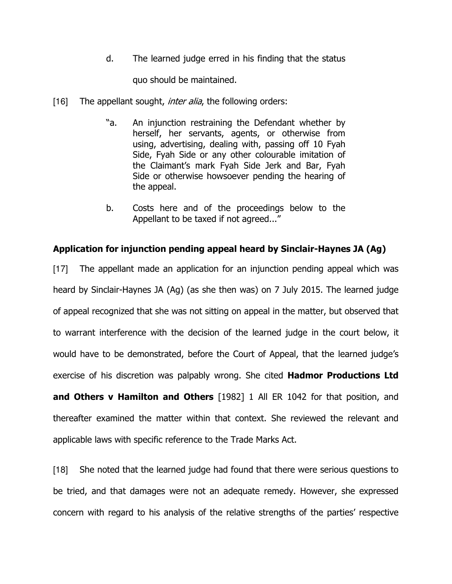- d. The learned judge erred in his finding that the status quo should be maintained.
- [16] The appellant sought, *inter alia*, the following orders:
	- "a. An injunction restraining the Defendant whether by herself, her servants, agents, or otherwise from using, advertising, dealing with, passing off 10 Fyah Side, Fyah Side or any other colourable imitation of the Claimant's mark Fyah Side Jerk and Bar, Fyah Side or otherwise howsoever pending the hearing of the appeal.
	- b. Costs here and of the proceedings below to the Appellant to be taxed if not agreed..."

# Application for injunction pending appeal heard by Sinclair-Haynes JA (Ag)

[17] The appellant made an application for an injunction pending appeal which was heard by Sinclair-Haynes JA (Ag) (as she then was) on 7 July 2015. The learned judge of appeal recognized that she was not sitting on appeal in the matter, but observed that to warrant interference with the decision of the learned judge in the court below, it would have to be demonstrated, before the Court of Appeal, that the learned judge's exercise of his discretion was palpably wrong. She cited **Hadmor Productions Ltd** and Others v Hamilton and Others [1982] 1 All ER 1042 for that position, and thereafter examined the matter within that context. She reviewed the relevant and applicable laws with specific reference to the Trade Marks Act.

[18] She noted that the learned judge had found that there were serious questions to be tried, and that damages were not an adequate remedy. However, she expressed concern with regard to his analysis of the relative strengths of the parties' respective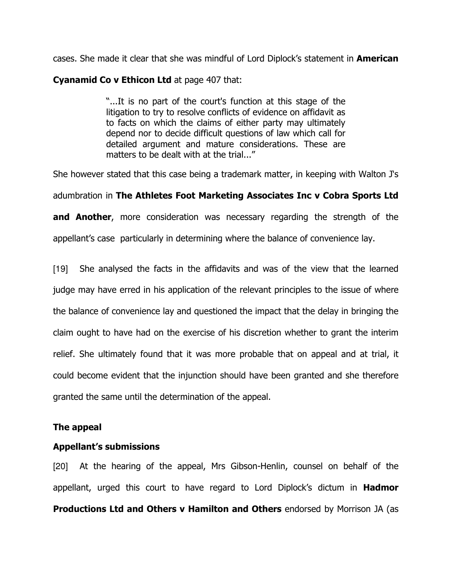cases. She made it clear that she was mindful of Lord Diplock's statement in **American** 

## Cyanamid Co v Ethicon Ltd at page 407 that:

"...It is no part of the court's function at this stage of the litigation to try to resolve conflicts of evidence on affidavit as to facts on which the claims of either party may ultimately depend nor to decide difficult questions of law which call for detailed argument and mature considerations. These are matters to be dealt with at the trial..."

She however stated that this case being a trademark matter, in keeping with Walton J's

adumbration in The Athletes Foot Marketing Associates Inc v Cobra Sports Ltd

**and Another**, more consideration was necessary regarding the strength of the appellant's case particularly in determining where the balance of convenience lay.

[19] She analysed the facts in the affidavits and was of the view that the learned judge may have erred in his application of the relevant principles to the issue of where the balance of convenience lay and questioned the impact that the delay in bringing the claim ought to have had on the exercise of his discretion whether to grant the interim relief. She ultimately found that it was more probable that on appeal and at trial, it could become evident that the injunction should have been granted and she therefore granted the same until the determination of the appeal.

# The appeal

## Appellant's submissions

[20] At the hearing of the appeal, Mrs Gibson-Henlin, counsel on behalf of the appellant, urged this court to have regard to Lord Diplock's dictum in **Hadmor** Productions Ltd and Others v Hamilton and Others endorsed by Morrison JA (as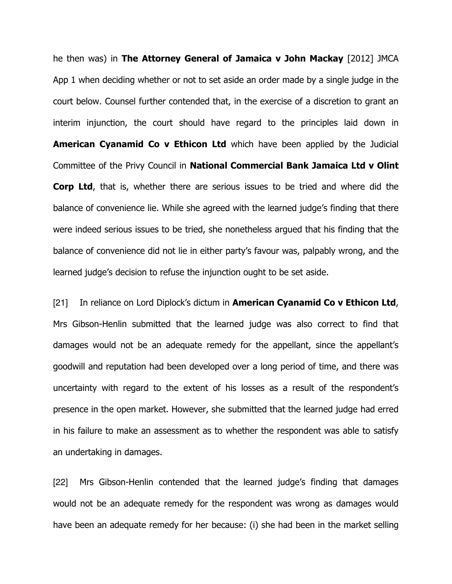he then was) in The Attorney General of Jamaica v John Mackay [2012] JMCA App 1 when deciding whether or not to set aside an order made by a single judge in the court below. Counsel further contended that, in the exercise of a discretion to grant an interim injunction, the court should have regard to the principles laid down in **American Cyanamid Co v Ethicon Ltd** which have been applied by the Judicial Committee of the Privy Council in National Commercial Bank Jamaica Ltd v Olint **Corp Ltd**, that is, whether there are serious issues to be tried and where did the balance of convenience lie. While she agreed with the learned judge's finding that there were indeed serious issues to be tried, she nonetheless argued that his finding that the balance of convenience did not lie in either party's favour was, palpably wrong, and the learned judge's decision to refuse the injunction ought to be set aside.

[21] In reliance on Lord Diplock's dictum in **American Cyanamid Co v Ethicon Ltd**, Mrs Gibson-Henlin submitted that the learned judge was also correct to find that damages would not be an adequate remedy for the appellant, since the appellant's goodwill and reputation had been developed over a long period of time, and there was uncertainty with regard to the extent of his losses as a result of the respondent's presence in the open market. However, she submitted that the learned judge had erred in his failure to make an assessment as to whether the respondent was able to satisfy an undertaking in damages.

[22] Mrs Gibson-Henlin contended that the learned judge's finding that damages would not be an adequate remedy for the respondent was wrong as damages would have been an adequate remedy for her because: (i) she had been in the market selling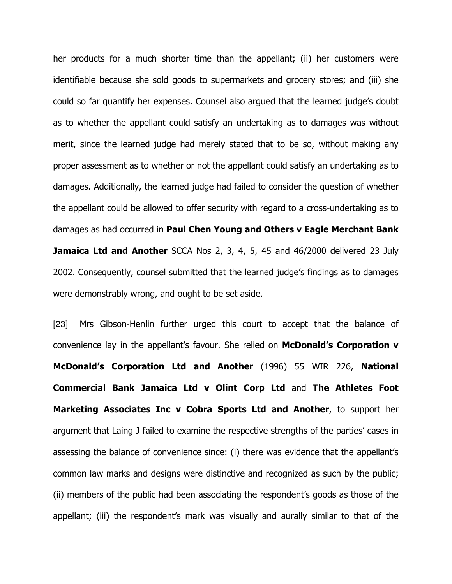her products for a much shorter time than the appellant; (ii) her customers were identifiable because she sold goods to supermarkets and grocery stores; and (iii) she could so far quantify her expenses. Counsel also argued that the learned judge's doubt as to whether the appellant could satisfy an undertaking as to damages was without merit, since the learned judge had merely stated that to be so, without making any proper assessment as to whether or not the appellant could satisfy an undertaking as to damages. Additionally, the learned judge had failed to consider the question of whether the appellant could be allowed to offer security with regard to a cross-undertaking as to damages as had occurred in Paul Chen Young and Others v Eagle Merchant Bank **Jamaica Ltd and Another** SCCA Nos 2, 3, 4, 5, 45 and 46/2000 delivered 23 July 2002. Consequently, counsel submitted that the learned judge's findings as to damages were demonstrably wrong, and ought to be set aside.

[23] Mrs Gibson-Henlin further urged this court to accept that the balance of convenience lay in the appellant's favour. She relied on McDonald's Corporation v McDonald's Corporation Ltd and Another (1996) 55 WIR 226, National Commercial Bank Jamaica Ltd v Olint Corp Ltd and The Athletes Foot Marketing Associates Inc v Cobra Sports Ltd and Another, to support her argument that Laing J failed to examine the respective strengths of the parties' cases in assessing the balance of convenience since: (i) there was evidence that the appellant's common law marks and designs were distinctive and recognized as such by the public; (ii) members of the public had been associating the respondent's goods as those of the appellant; (iii) the respondent's mark was visually and aurally similar to that of the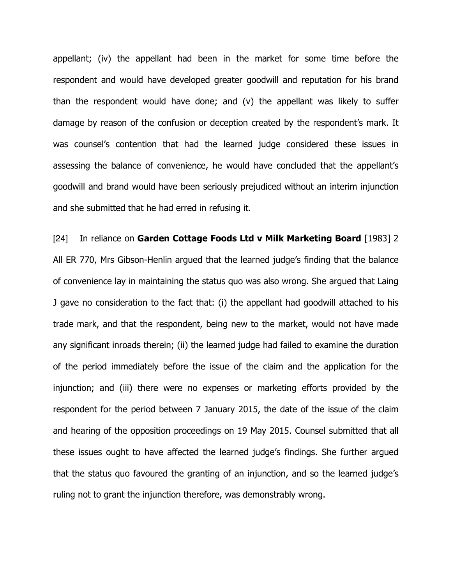appellant; (iv) the appellant had been in the market for some time before the respondent and would have developed greater goodwill and reputation for his brand than the respondent would have done; and (v) the appellant was likely to suffer damage by reason of the confusion or deception created by the respondent's mark. It was counsel's contention that had the learned judge considered these issues in assessing the balance of convenience, he would have concluded that the appellant's goodwill and brand would have been seriously prejudiced without an interim injunction and she submitted that he had erred in refusing it.

[24] In reliance on Garden Cottage Foods Ltd v Milk Marketing Board [1983] 2 All ER 770, Mrs Gibson-Henlin argued that the learned judge's finding that the balance of convenience lay in maintaining the status quo was also wrong. She argued that Laing J gave no consideration to the fact that: (i) the appellant had goodwill attached to his trade mark, and that the respondent, being new to the market, would not have made any significant inroads therein; (ii) the learned judge had failed to examine the duration of the period immediately before the issue of the claim and the application for the injunction; and (iii) there were no expenses or marketing efforts provided by the respondent for the period between 7 January 2015, the date of the issue of the claim and hearing of the opposition proceedings on 19 May 2015. Counsel submitted that all these issues ought to have affected the learned judge's findings. She further argued that the status quo favoured the granting of an injunction, and so the learned judge's ruling not to grant the injunction therefore, was demonstrably wrong.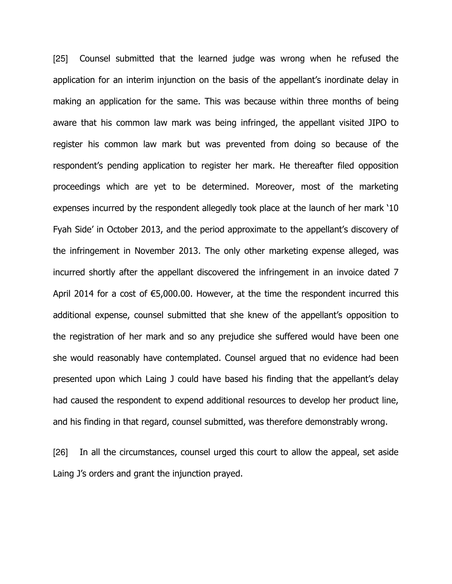[25] Counsel submitted that the learned judge was wrong when he refused the application for an interim injunction on the basis of the appellant's inordinate delay in making an application for the same. This was because within three months of being aware that his common law mark was being infringed, the appellant visited JIPO to register his common law mark but was prevented from doing so because of the respondent's pending application to register her mark. He thereafter filed opposition proceedings which are yet to be determined. Moreover, most of the marketing expenses incurred by the respondent allegedly took place at the launch of her mark '10 Fyah Side' in October 2013, and the period approximate to the appellant's discovery of the infringement in November 2013. The only other marketing expense alleged, was incurred shortly after the appellant discovered the infringement in an invoice dated 7 April 2014 for a cost of  $\epsilon$ 5,000.00. However, at the time the respondent incurred this additional expense, counsel submitted that she knew of the appellant's opposition to the registration of her mark and so any prejudice she suffered would have been one she would reasonably have contemplated. Counsel argued that no evidence had been presented upon which Laing J could have based his finding that the appellant's delay had caused the respondent to expend additional resources to develop her product line, and his finding in that regard, counsel submitted, was therefore demonstrably wrong.

[26] In all the circumstances, counsel urged this court to allow the appeal, set aside Laing J's orders and grant the injunction prayed.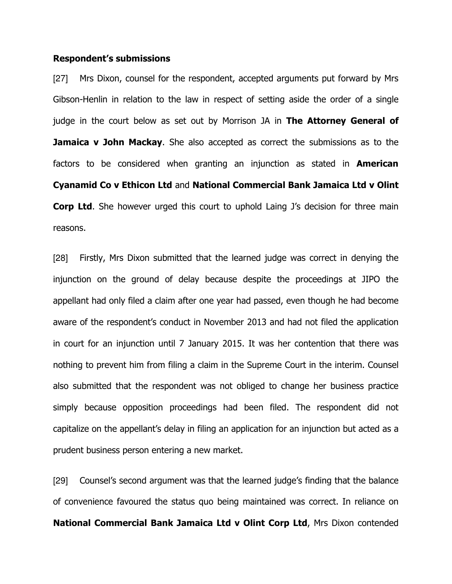#### Respondent's submissions

[27] Mrs Dixon, counsel for the respondent, accepted arguments put forward by Mrs Gibson-Henlin in relation to the law in respect of setting aside the order of a single judge in the court below as set out by Morrison JA in The Attorney General of **Jamaica v John Mackay.** She also accepted as correct the submissions as to the factors to be considered when granting an injunction as stated in **American** Cyanamid Co v Ethicon Ltd and National Commercial Bank Jamaica Ltd v Olint **Corp Ltd.** She however urged this court to uphold Laing J's decision for three main reasons.

[28] Firstly, Mrs Dixon submitted that the learned judge was correct in denying the injunction on the ground of delay because despite the proceedings at JIPO the appellant had only filed a claim after one year had passed, even though he had become aware of the respondent's conduct in November 2013 and had not filed the application in court for an injunction until 7 January 2015. It was her contention that there was nothing to prevent him from filing a claim in the Supreme Court in the interim. Counsel also submitted that the respondent was not obliged to change her business practice simply because opposition proceedings had been filed. The respondent did not capitalize on the appellant's delay in filing an application for an injunction but acted as a prudent business person entering a new market.

[29] Counsel's second argument was that the learned judge's finding that the balance of convenience favoured the status quo being maintained was correct. In reliance on National Commercial Bank Jamaica Ltd v Olint Corp Ltd, Mrs Dixon contended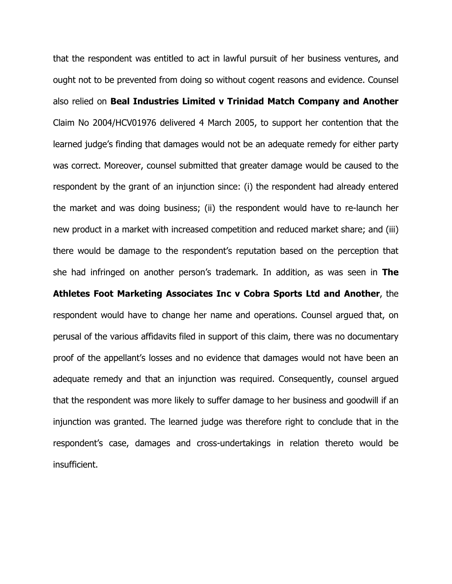that the respondent was entitled to act in lawful pursuit of her business ventures, and ought not to be prevented from doing so without cogent reasons and evidence. Counsel also relied on Beal Industries Limited v Trinidad Match Company and Another Claim No 2004/HCV01976 delivered 4 March 2005, to support her contention that the learned judge's finding that damages would not be an adequate remedy for either party was correct. Moreover, counsel submitted that greater damage would be caused to the respondent by the grant of an injunction since: (i) the respondent had already entered the market and was doing business; (ii) the respondent would have to re-launch her new product in a market with increased competition and reduced market share; and (iii) there would be damage to the respondent's reputation based on the perception that she had infringed on another person's trademark. In addition, as was seen in The Athletes Foot Marketing Associates Inc v Cobra Sports Ltd and Another, the respondent would have to change her name and operations. Counsel argued that, on perusal of the various affidavits filed in support of this claim, there was no documentary proof of the appellant's losses and no evidence that damages would not have been an adequate remedy and that an injunction was required. Consequently, counsel argued that the respondent was more likely to suffer damage to her business and goodwill if an

respondent's case, damages and cross-undertakings in relation thereto would be insufficient.

injunction was granted. The learned judge was therefore right to conclude that in the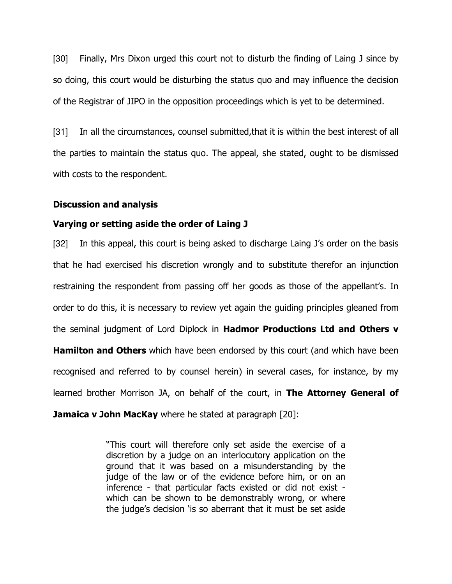[30] Finally, Mrs Dixon urged this court not to disturb the finding of Laing J since by so doing, this court would be disturbing the status quo and may influence the decision of the Registrar of JIPO in the opposition proceedings which is yet to be determined.

[31] In all the circumstances, counsel submitted, that it is within the best interest of all the parties to maintain the status quo. The appeal, she stated, ought to be dismissed with costs to the respondent.

#### Discussion and analysis

### Varying or setting aside the order of Laing J

[32] In this appeal, this court is being asked to discharge Laing J's order on the basis that he had exercised his discretion wrongly and to substitute therefor an injunction restraining the respondent from passing off her goods as those of the appellant's. In order to do this, it is necessary to review yet again the guiding principles gleaned from the seminal judgment of Lord Diplock in **Hadmor Productions Ltd and Others v Hamilton and Others** which have been endorsed by this court (and which have been recognised and referred to by counsel herein) in several cases, for instance, by my learned brother Morrison JA, on behalf of the court, in The Attorney General of **Jamaica v John MacKay** where he stated at paragraph [20]:

> "This court will therefore only set aside the exercise of a discretion by a judge on an interlocutory application on the ground that it was based on a misunderstanding by the judge of the law or of the evidence before him, or on an inference - that particular facts existed or did not exist which can be shown to be demonstrably wrong, or where the judge's decision 'is so aberrant that it must be set aside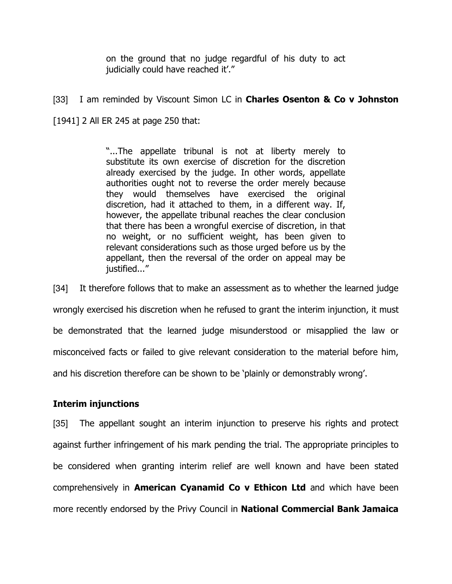on the ground that no judge regardful of his duty to act judicially could have reached it'."

[33] I am reminded by Viscount Simon LC in **Charles Osenton & Co v Johnston** [1941] 2 All ER 245 at page 250 that:

> "...The appellate tribunal is not at liberty merely to substitute its own exercise of discretion for the discretion already exercised by the judge. In other words, appellate authorities ought not to reverse the order merely because they would themselves have exercised the original discretion, had it attached to them, in a different way. If, however, the appellate tribunal reaches the clear conclusion that there has been a wrongful exercise of discretion, in that no weight, or no sufficient weight, has been given to relevant considerations such as those urged before us by the appellant, then the reversal of the order on appeal may be justified..."

[34] It therefore follows that to make an assessment as to whether the learned judge wrongly exercised his discretion when he refused to grant the interim injunction, it must be demonstrated that the learned judge misunderstood or misapplied the law or misconceived facts or failed to give relevant consideration to the material before him, and his discretion therefore can be shown to be 'plainly or demonstrably wrong'.

## Interim injunctions

[35] The appellant sought an interim injunction to preserve his rights and protect against further infringement of his mark pending the trial. The appropriate principles to be considered when granting interim relief are well known and have been stated comprehensively in **American Cyanamid Co v Ethicon Ltd** and which have been more recently endorsed by the Privy Council in **National Commercial Bank Jamaica**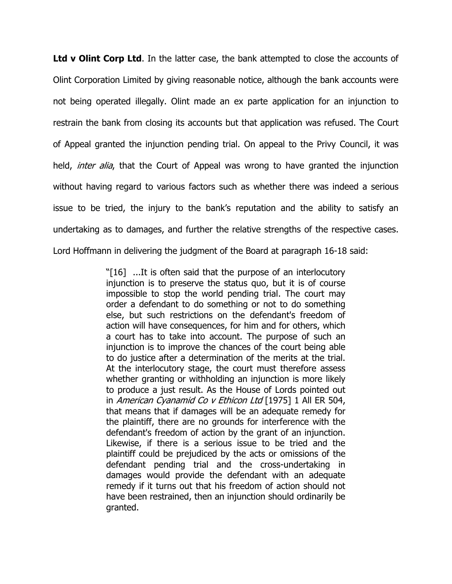Ltd v Olint Corp Ltd. In the latter case, the bank attempted to close the accounts of Olint Corporation Limited by giving reasonable notice, although the bank accounts were not being operated illegally. Olint made an ex parte application for an injunction to restrain the bank from closing its accounts but that application was refused. The Court of Appeal granted the injunction pending trial. On appeal to the Privy Council, it was held, *inter alia*, that the Court of Appeal was wrong to have granted the injunction without having regard to various factors such as whether there was indeed a serious issue to be tried, the injury to the bank's reputation and the ability to satisfy an undertaking as to damages, and further the relative strengths of the respective cases. Lord Hoffmann in delivering the judgment of the Board at paragraph 16-18 said:

> "[16] ...It is often said that the purpose of an interlocutory injunction is to preserve the status quo, but it is of course impossible to stop the world pending trial. The court may order a defendant to do something or not to do something else, but such restrictions on the defendant's freedom of action will have consequences, for him and for others, which a court has to take into account. The purpose of such an injunction is to improve the chances of the court being able to do justice after a determination of the merits at the trial. At the interlocutory stage, the court must therefore assess whether granting or withholding an injunction is more likely to produce a just result. As the House of Lords pointed out in American Cyanamid Co v Ethicon Ltd [1975] 1 All ER 504, that means that if damages will be an adequate remedy for the plaintiff, there are no grounds for interference with the defendant's freedom of action by the grant of an injunction. Likewise, if there is a serious issue to be tried and the plaintiff could be prejudiced by the acts or omissions of the defendant pending trial and the cross-undertaking in damages would provide the defendant with an adequate remedy if it turns out that his freedom of action should not have been restrained, then an injunction should ordinarily be granted.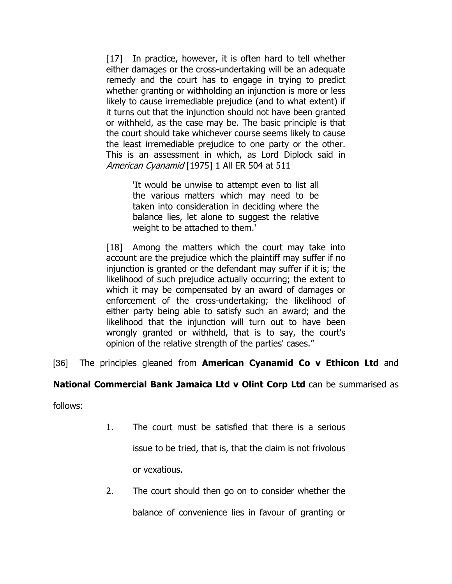[17] In practice, however, it is often hard to tell whether either damages or the cross-undertaking will be an adequate remedy and the court has to engage in trying to predict whether granting or withholding an injunction is more or less likely to cause irremediable prejudice (and to what extent) if it turns out that the injunction should not have been granted or withheld, as the case may be. The basic principle is that the court should take whichever course seems likely to cause the least irremediable prejudice to one party or the other. This is an assessment in which, as Lord Diplock said in American Cyanamid [1975] 1 All ER 504 at 511

> 'It would be unwise to attempt even to list all the various matters which may need to be taken into consideration in deciding where the balance lies, let alone to suggest the relative weight to be attached to them.'

[18] Among the matters which the court may take into account are the prejudice which the plaintiff may suffer if no injunction is granted or the defendant may suffer if it is; the likelihood of such prejudice actually occurring; the extent to which it may be compensated by an award of damages or enforcement of the cross-undertaking; the likelihood of either party being able to satisfy such an award; and the likelihood that the injunction will turn out to have been wrongly granted or withheld, that is to say, the court's opinion of the relative strength of the parties' cases."

[36] The principles gleaned from **American Cyanamid Co v Ethicon Ltd** and

# National Commercial Bank Jamaica Ltd v Olint Corp Ltd can be summarised as

follows:

- 1. The court must be satisfied that there is a serious issue to be tried, that is, that the claim is not frivolous or vexatious.
- 2. The court should then go on to consider whether the

balance of convenience lies in favour of granting or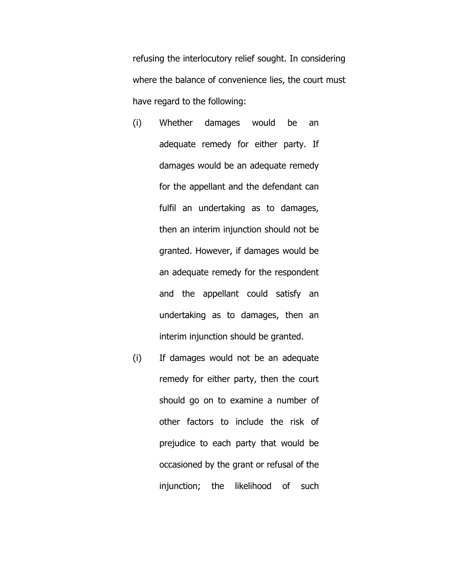refusing the interlocutory relief sought. In considering where the balance of convenience lies, the court must have regard to the following:

- (i) Whether damages would be an adequate remedy for either party. If damages would be an adequate remedy for the appellant and the defendant can fulfil an undertaking as to damages, then an interim injunction should not be granted. However, if damages would be an adequate remedy for the respondent and the appellant could satisfy an undertaking as to damages, then an interim injunction should be granted.
- (i) If damages would not be an adequate remedy for either party, then the court should go on to examine a number of other factors to include the risk of prejudice to each party that would be occasioned by the grant or refusal of the injunction; the likelihood of such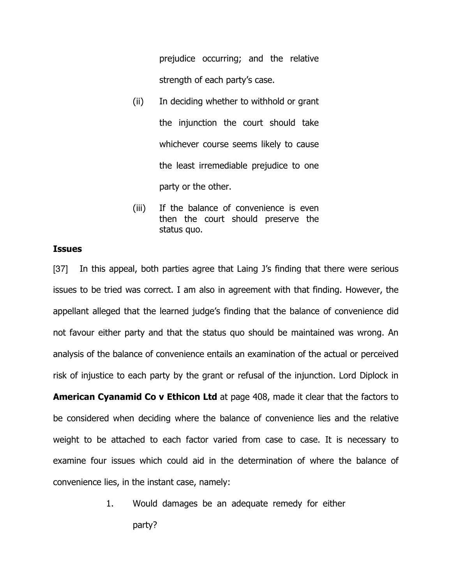prejudice occurring; and the relative strength of each party's case.

- (ii) In deciding whether to withhold or grant the injunction the court should take whichever course seems likely to cause the least irremediable prejudice to one party or the other.
- (iii) If the balance of convenience is even then the court should preserve the status quo.

### **Issues**

[37] In this appeal, both parties agree that Laing J's finding that there were serious issues to be tried was correct. I am also in agreement with that finding. However, the appellant alleged that the learned judge's finding that the balance of convenience did not favour either party and that the status quo should be maintained was wrong. An analysis of the balance of convenience entails an examination of the actual or perceived risk of injustice to each party by the grant or refusal of the injunction. Lord Diplock in **American Cyanamid Co v Ethicon Ltd** at page 408, made it clear that the factors to be considered when deciding where the balance of convenience lies and the relative weight to be attached to each factor varied from case to case. It is necessary to examine four issues which could aid in the determination of where the balance of convenience lies, in the instant case, namely:

1. Would damages be an adequate remedy for either

party?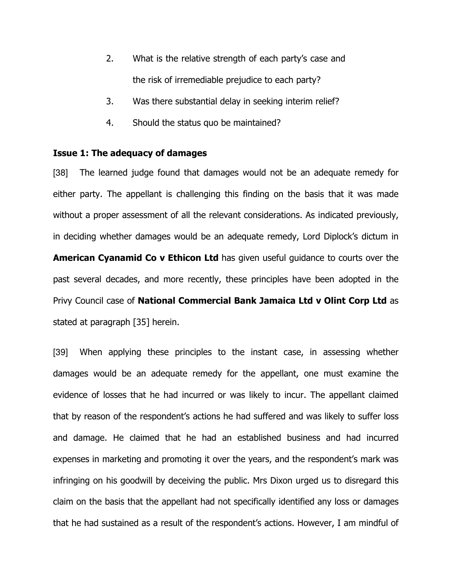- 2. What is the relative strength of each party's case and the risk of irremediable prejudice to each party?
- 3. Was there substantial delay in seeking interim relief?
- 4. Should the status quo be maintained?

### Issue 1: The adequacy of damages

[38] The learned judge found that damages would not be an adequate remedy for either party. The appellant is challenging this finding on the basis that it was made without a proper assessment of all the relevant considerations. As indicated previously, in deciding whether damages would be an adequate remedy, Lord Diplock's dictum in American Cyanamid Co v Ethicon Ltd has given useful guidance to courts over the past several decades, and more recently, these principles have been adopted in the Privy Council case of National Commercial Bank Jamaica Ltd v Olint Corp Ltd as stated at paragraph [35] herein.

[39] When applying these principles to the instant case, in assessing whether damages would be an adequate remedy for the appellant, one must examine the evidence of losses that he had incurred or was likely to incur. The appellant claimed that by reason of the respondent's actions he had suffered and was likely to suffer loss and damage. He claimed that he had an established business and had incurred expenses in marketing and promoting it over the years, and the respondent's mark was infringing on his goodwill by deceiving the public. Mrs Dixon urged us to disregard this claim on the basis that the appellant had not specifically identified any loss or damages that he had sustained as a result of the respondent's actions. However, I am mindful of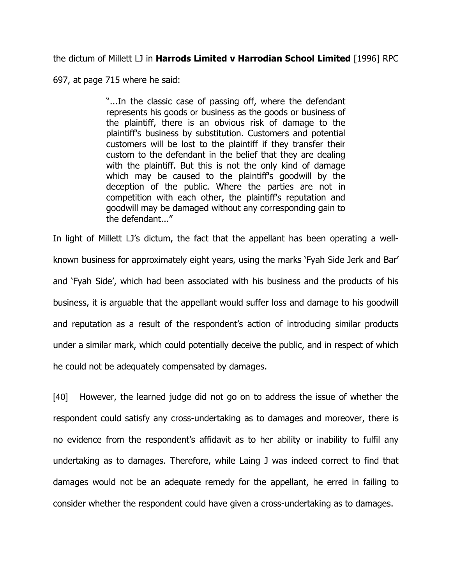the dictum of Millett LJ in Harrods Limited v Harrodian School Limited [1996] RPC

697, at page 715 where he said:

"...In the classic case of passing off, where the defendant represents his goods or business as the goods or business of the plaintiff, there is an obvious risk of damage to the plaintiff's business by substitution. Customers and potential customers will be lost to the plaintiff if they transfer their custom to the defendant in the belief that they are dealing with the plaintiff. But this is not the only kind of damage which may be caused to the plaintiff's goodwill by the deception of the public. Where the parties are not in competition with each other, the plaintiff's reputation and goodwill may be damaged without any corresponding gain to the defendant..."

In light of Millett LJ's dictum, the fact that the appellant has been operating a wellknown business for approximately eight years, using the marks 'Fyah Side Jerk and Bar' and 'Fyah Side', which had been associated with his business and the products of his business, it is arguable that the appellant would suffer loss and damage to his goodwill and reputation as a result of the respondent's action of introducing similar products under a similar mark, which could potentially deceive the public, and in respect of which he could not be adequately compensated by damages.

[40] However, the learned judge did not go on to address the issue of whether the respondent could satisfy any cross-undertaking as to damages and moreover, there is no evidence from the respondent's affidavit as to her ability or inability to fulfil any undertaking as to damages. Therefore, while Laing J was indeed correct to find that damages would not be an adequate remedy for the appellant, he erred in failing to consider whether the respondent could have given a cross-undertaking as to damages.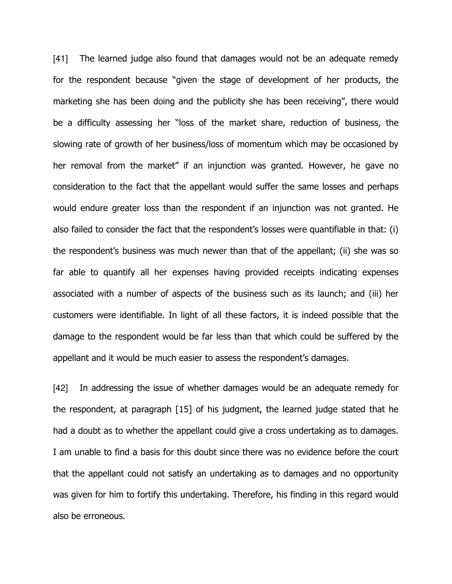[41] The learned judge also found that damages would not be an adequate remedy for the respondent because "given the stage of development of her products, the marketing she has been doing and the publicity she has been receiving", there would be a difficulty assessing her "loss of the market share, reduction of business, the slowing rate of growth of her business/loss of momentum which may be occasioned by her removal from the market" if an injunction was granted. However, he gave no consideration to the fact that the appellant would suffer the same losses and perhaps would endure greater loss than the respondent if an injunction was not granted. He also failed to consider the fact that the respondent's losses were quantifiable in that: (i) the respondent's business was much newer than that of the appellant; (ii) she was so far able to quantify all her expenses having provided receipts indicating expenses associated with a number of aspects of the business such as its launch; and (iii) her customers were identifiable. In light of all these factors, it is indeed possible that the damage to the respondent would be far less than that which could be suffered by the appellant and it would be much easier to assess the respondent's damages.

[42] In addressing the issue of whether damages would be an adequate remedy for the respondent, at paragraph [15] of his judgment, the learned judge stated that he had a doubt as to whether the appellant could give a cross undertaking as to damages. I am unable to find a basis for this doubt since there was no evidence before the court that the appellant could not satisfy an undertaking as to damages and no opportunity was given for him to fortify this undertaking. Therefore, his finding in this regard would also be erroneous.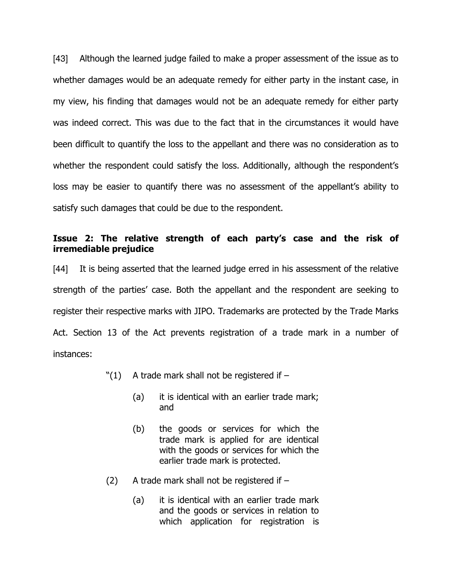[43] Although the learned judge failed to make a proper assessment of the issue as to whether damages would be an adequate remedy for either party in the instant case, in my view, his finding that damages would not be an adequate remedy for either party was indeed correct. This was due to the fact that in the circumstances it would have been difficult to quantify the loss to the appellant and there was no consideration as to whether the respondent could satisfy the loss. Additionally, although the respondent's loss may be easier to quantify there was no assessment of the appellant's ability to satisfy such damages that could be due to the respondent.

## Issue 2: The relative strength of each party's case and the risk of irremediable prejudice

[44] It is being asserted that the learned judge erred in his assessment of the relative strength of the parties' case. Both the appellant and the respondent are seeking to register their respective marks with JIPO. Trademarks are protected by the Trade Marks Act. Section 13 of the Act prevents registration of a trade mark in a number of instances:

- $"(1)$  A trade mark shall not be registered if  $-$ 
	- (a) it is identical with an earlier trade mark; and
	- (b) the goods or services for which the trade mark is applied for are identical with the goods or services for which the earlier trade mark is protected.
- (2) A trade mark shall not be registered if
	- (a) it is identical with an earlier trade mark and the goods or services in relation to which application for registration is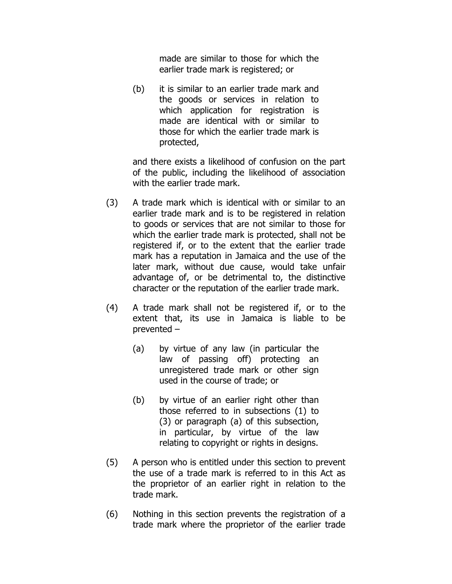made are similar to those for which the earlier trade mark is registered; or

(b) it is similar to an earlier trade mark and the goods or services in relation to which application for registration is made are identical with or similar to those for which the earlier trade mark is protected,

and there exists a likelihood of confusion on the part of the public, including the likelihood of association with the earlier trade mark.

- (3) A trade mark which is identical with or similar to an earlier trade mark and is to be registered in relation to goods or services that are not similar to those for which the earlier trade mark is protected, shall not be registered if, or to the extent that the earlier trade mark has a reputation in Jamaica and the use of the later mark, without due cause, would take unfair advantage of, or be detrimental to, the distinctive character or the reputation of the earlier trade mark.
- (4) A trade mark shall not be registered if, or to the extent that, its use in Jamaica is liable to be prevented –
	- (a) by virtue of any law (in particular the law of passing off) protecting an unregistered trade mark or other sign used in the course of trade; or
	- (b) by virtue of an earlier right other than those referred to in subsections (1) to (3) or paragraph (a) of this subsection, in particular, by virtue of the law relating to copyright or rights in designs.
- (5) A person who is entitled under this section to prevent the use of a trade mark is referred to in this Act as the proprietor of an earlier right in relation to the trade mark.
- (6) Nothing in this section prevents the registration of a trade mark where the proprietor of the earlier trade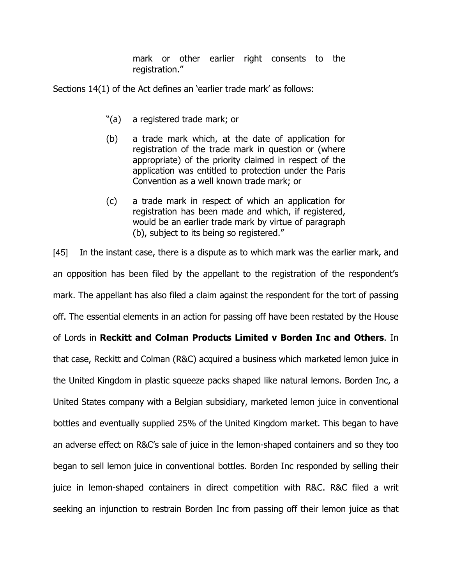mark or other earlier right consents to the registration."

Sections 14(1) of the Act defines an 'earlier trade mark' as follows:

- "(a) a registered trade mark; or
- (b) a trade mark which, at the date of application for registration of the trade mark in question or (where appropriate) of the priority claimed in respect of the application was entitled to protection under the Paris Convention as a well known trade mark; or
- (c) a trade mark in respect of which an application for registration has been made and which, if registered, would be an earlier trade mark by virtue of paragraph (b), subject to its being so registered."

[45] In the instant case, there is a dispute as to which mark was the earlier mark, and an opposition has been filed by the appellant to the registration of the respondent's mark. The appellant has also filed a claim against the respondent for the tort of passing off. The essential elements in an action for passing off have been restated by the House of Lords in Reckitt and Colman Products Limited v Borden Inc and Others. In that case, Reckitt and Colman (R&C) acquired a business which marketed lemon juice in the United Kingdom in plastic squeeze packs shaped like natural lemons. Borden Inc, a United States company with a Belgian subsidiary, marketed lemon juice in conventional bottles and eventually supplied 25% of the United Kingdom market. This began to have an adverse effect on R&C's sale of juice in the lemon-shaped containers and so they too began to sell lemon juice in conventional bottles. Borden Inc responded by selling their juice in lemon-shaped containers in direct competition with R&C. R&C filed a writ seeking an injunction to restrain Borden Inc from passing off their lemon juice as that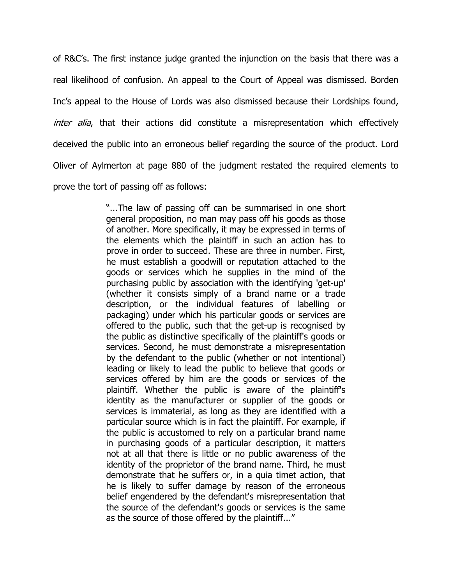of R&C's. The first instance judge granted the injunction on the basis that there was a real likelihood of confusion. An appeal to the Court of Appeal was dismissed. Borden Inc's appeal to the House of Lords was also dismissed because their Lordships found, inter alia, that their actions did constitute a misrepresentation which effectively deceived the public into an erroneous belief regarding the source of the product. Lord Oliver of Aylmerton at page 880 of the judgment restated the required elements to prove the tort of passing off as follows:

> "...The law of passing off can be summarised in one short general proposition, no man may pass off his goods as those of another. More specifically, it may be expressed in terms of the elements which the plaintiff in such an action has to prove in order to succeed. These are three in number. First, he must establish a goodwill or reputation attached to the goods or services which he supplies in the mind of the purchasing public by association with the identifying 'get-up' (whether it consists simply of a brand name or a trade description, or the individual features of labelling or packaging) under which his particular goods or services are offered to the public, such that the get-up is recognised by the public as distinctive specifically of the plaintiff's goods or services. Second, he must demonstrate a misrepresentation by the defendant to the public (whether or not intentional) leading or likely to lead the public to believe that goods or services offered by him are the goods or services of the plaintiff. Whether the public is aware of the plaintiff's identity as the manufacturer or supplier of the goods or services is immaterial, as long as they are identified with a particular source which is in fact the plaintiff. For example, if the public is accustomed to rely on a particular brand name in purchasing goods of a particular description, it matters not at all that there is little or no public awareness of the identity of the proprietor of the brand name. Third, he must demonstrate that he suffers or, in a quia timet action, that he is likely to suffer damage by reason of the erroneous belief engendered by the defendant's misrepresentation that the source of the defendant's goods or services is the same as the source of those offered by the plaintiff..."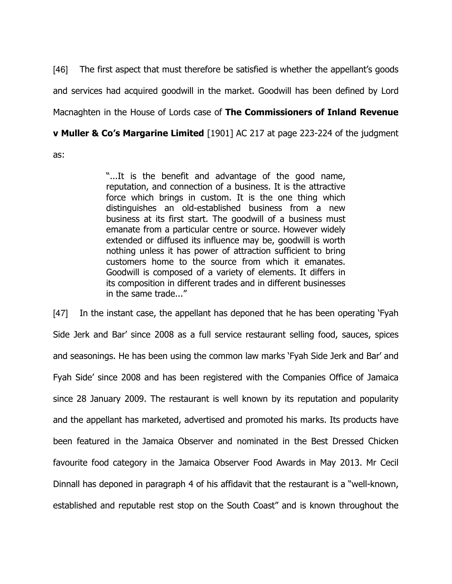[46] The first aspect that must therefore be satisfied is whether the appellant's goods and services had acquired goodwill in the market. Goodwill has been defined by Lord Macnaghten in the House of Lords case of The Commissioners of Inland Revenue **v Muller & Co's Margarine Limited** [1901] AC 217 at page 223-224 of the judgment

as:

"...It is the benefit and advantage of the good name, reputation, and connection of a business. It is the attractive force which brings in custom. It is the one thing which distinguishes an old-established business from a new business at its first start. The goodwill of a business must emanate from a particular centre or source. However widely extended or diffused its influence may be, goodwill is worth nothing unless it has power of attraction sufficient to bring customers home to the source from which it emanates. Goodwill is composed of a variety of elements. It differs in its composition in different trades and in different businesses in the same trade..."

[47] In the instant case, the appellant has deponed that he has been operating 'Fyah Side Jerk and Bar' since 2008 as a full service restaurant selling food, sauces, spices and seasonings. He has been using the common law marks 'Fyah Side Jerk and Bar' and Fyah Side' since 2008 and has been registered with the Companies Office of Jamaica since 28 January 2009. The restaurant is well known by its reputation and popularity and the appellant has marketed, advertised and promoted his marks. Its products have been featured in the Jamaica Observer and nominated in the Best Dressed Chicken favourite food category in the Jamaica Observer Food Awards in May 2013. Mr Cecil Dinnall has deponed in paragraph 4 of his affidavit that the restaurant is a "well-known, established and reputable rest stop on the South Coast" and is known throughout the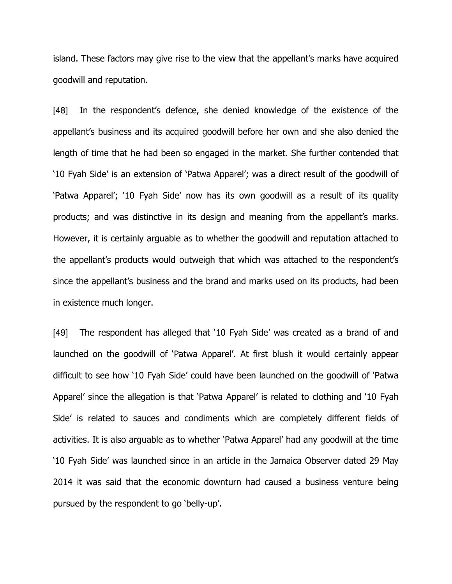island. These factors may give rise to the view that the appellant's marks have acquired goodwill and reputation.

[48] In the respondent's defence, she denied knowledge of the existence of the appellant's business and its acquired goodwill before her own and she also denied the length of time that he had been so engaged in the market. She further contended that '10 Fyah Side' is an extension of 'Patwa Apparel'; was a direct result of the goodwill of 'Patwa Apparel'; '10 Fyah Side' now has its own goodwill as a result of its quality products; and was distinctive in its design and meaning from the appellant's marks. However, it is certainly arguable as to whether the goodwill and reputation attached to the appellant's products would outweigh that which was attached to the respondent's since the appellant's business and the brand and marks used on its products, had been in existence much longer.

[49] The respondent has alleged that '10 Fyah Side' was created as a brand of and launched on the goodwill of 'Patwa Apparel'. At first blush it would certainly appear difficult to see how '10 Fyah Side' could have been launched on the goodwill of 'Patwa Apparel' since the allegation is that 'Patwa Apparel' is related to clothing and '10 Fyah Side' is related to sauces and condiments which are completely different fields of activities. It is also arguable as to whether 'Patwa Apparel' had any goodwill at the time '10 Fyah Side' was launched since in an article in the Jamaica Observer dated 29 May 2014 it was said that the economic downturn had caused a business venture being pursued by the respondent to go 'belly-up'.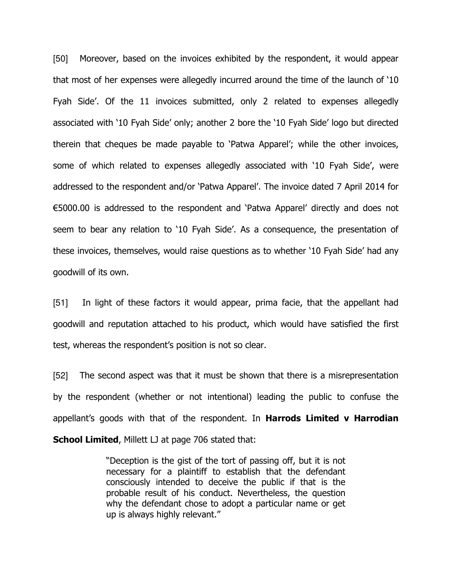[50] Moreover, based on the invoices exhibited by the respondent, it would appear that most of her expenses were allegedly incurred around the time of the launch of '10 Fyah Side'. Of the 11 invoices submitted, only 2 related to expenses allegedly associated with '10 Fyah Side' only; another 2 bore the '10 Fyah Side' logo but directed therein that cheques be made payable to 'Patwa Apparel'; while the other invoices, some of which related to expenses allegedly associated with '10 Fyah Side', were addressed to the respondent and/or 'Patwa Apparel'. The invoice dated 7 April 2014 for €5000.00 is addressed to the respondent and 'Patwa Apparel' directly and does not seem to bear any relation to '10 Fyah Side'. As a consequence, the presentation of these invoices, themselves, would raise questions as to whether '10 Fyah Side' had any goodwill of its own.

[51] In light of these factors it would appear, prima facie, that the appellant had goodwill and reputation attached to his product, which would have satisfied the first test, whereas the respondent's position is not so clear.

[52] The second aspect was that it must be shown that there is a misrepresentation by the respondent (whether or not intentional) leading the public to confuse the appellant's goods with that of the respondent. In **Harrods Limited v Harrodian** School Limited, Millett LJ at page 706 stated that:

> "Deception is the gist of the tort of passing off, but it is not necessary for a plaintiff to establish that the defendant consciously intended to deceive the public if that is the probable result of his conduct. Nevertheless, the question why the defendant chose to adopt a particular name or get up is always highly relevant."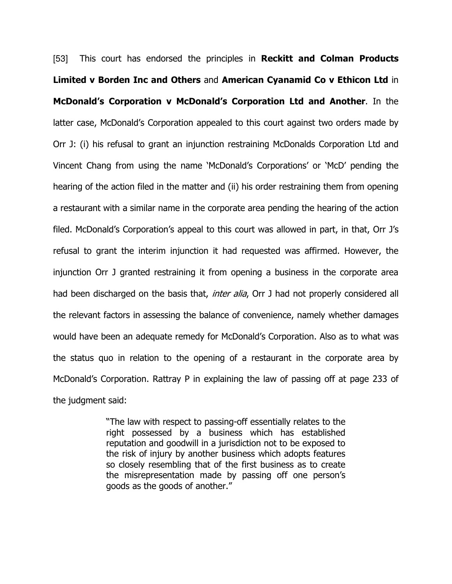[53] This court has endorsed the principles in Reckitt and Colman Products Limited v Borden Inc and Others and American Cyanamid Co v Ethicon Ltd in McDonald's Corporation v McDonald's Corporation Ltd and Another. In the latter case, McDonald's Corporation appealed to this court against two orders made by Orr J: (i) his refusal to grant an injunction restraining McDonalds Corporation Ltd and Vincent Chang from using the name 'McDonald's Corporations' or 'McD' pending the hearing of the action filed in the matter and (ii) his order restraining them from opening a restaurant with a similar name in the corporate area pending the hearing of the action filed. McDonald's Corporation's appeal to this court was allowed in part, in that, Orr J's refusal to grant the interim injunction it had requested was affirmed. However, the injunction Orr J granted restraining it from opening a business in the corporate area had been discharged on the basis that, *inter alia*, Orr J had not properly considered all the relevant factors in assessing the balance of convenience, namely whether damages would have been an adequate remedy for McDonald's Corporation. Also as to what was the status quo in relation to the opening of a restaurant in the corporate area by McDonald's Corporation. Rattray P in explaining the law of passing off at page 233 of the judgment said:

> "The law with respect to passing-off essentially relates to the right possessed by a business which has established reputation and goodwill in a jurisdiction not to be exposed to the risk of injury by another business which adopts features so closely resembling that of the first business as to create the misrepresentation made by passing off one person's goods as the goods of another."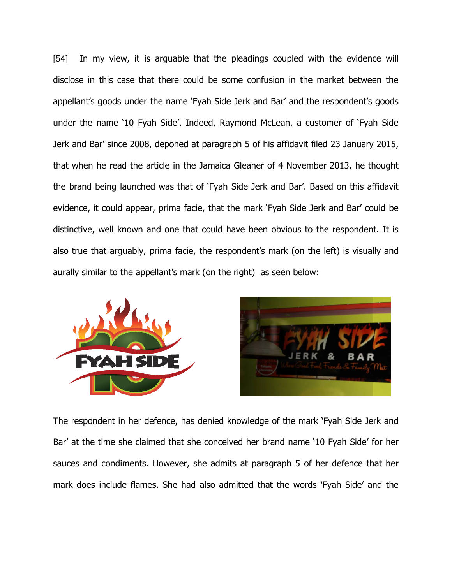[54] In my view, it is arguable that the pleadings coupled with the evidence will disclose in this case that there could be some confusion in the market between the appellant's goods under the name 'Fyah Side Jerk and Bar' and the respondent's goods under the name '10 Fyah Side'. Indeed, Raymond McLean, a customer of 'Fyah Side Jerk and Bar' since 2008, deponed at paragraph 5 of his affidavit filed 23 January 2015, that when he read the article in the Jamaica Gleaner of 4 November 2013, he thought the brand being launched was that of 'Fyah Side Jerk and Bar'. Based on this affidavit evidence, it could appear, prima facie, that the mark 'Fyah Side Jerk and Bar' could be distinctive, well known and one that could have been obvious to the respondent. It is also true that arguably, prima facie, the respondent's mark (on the left) is visually and aurally similar to the appellant's mark (on the right) as seen below:





The respondent in her defence, has denied knowledge of the mark 'Fyah Side Jerk and Bar' at the time she claimed that she conceived her brand name '10 Fyah Side' for her sauces and condiments. However, she admits at paragraph 5 of her defence that her mark does include flames. She had also admitted that the words 'Fyah Side' and the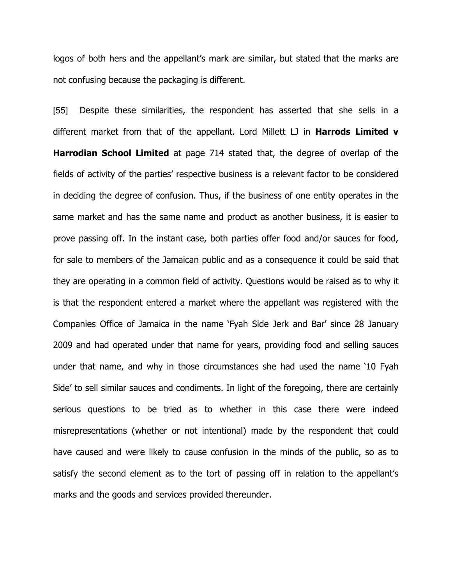logos of both hers and the appellant's mark are similar, but stated that the marks are not confusing because the packaging is different.

[55] Despite these similarities, the respondent has asserted that she sells in a different market from that of the appellant. Lord Millett  $LJ$  in **Harrods Limited v Harrodian School Limited** at page 714 stated that, the degree of overlap of the fields of activity of the parties' respective business is a relevant factor to be considered in deciding the degree of confusion. Thus, if the business of one entity operates in the same market and has the same name and product as another business, it is easier to prove passing off. In the instant case, both parties offer food and/or sauces for food, for sale to members of the Jamaican public and as a consequence it could be said that they are operating in a common field of activity. Questions would be raised as to why it is that the respondent entered a market where the appellant was registered with the Companies Office of Jamaica in the name 'Fyah Side Jerk and Bar' since 28 January 2009 and had operated under that name for years, providing food and selling sauces under that name, and why in those circumstances she had used the name '10 Fyah Side' to sell similar sauces and condiments. In light of the foregoing, there are certainly serious questions to be tried as to whether in this case there were indeed misrepresentations (whether or not intentional) made by the respondent that could have caused and were likely to cause confusion in the minds of the public, so as to satisfy the second element as to the tort of passing off in relation to the appellant's marks and the goods and services provided thereunder.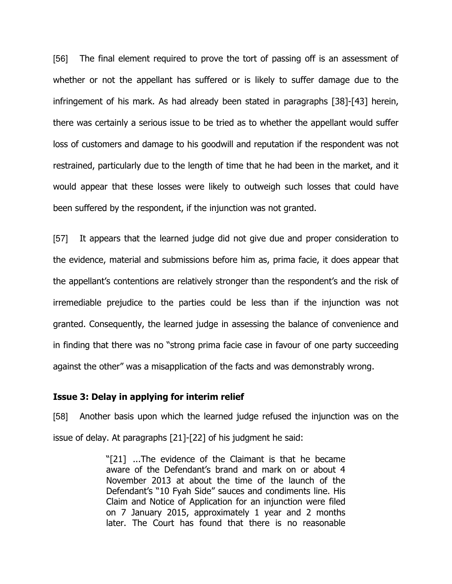[56] The final element required to prove the tort of passing off is an assessment of whether or not the appellant has suffered or is likely to suffer damage due to the infringement of his mark. As had already been stated in paragraphs [38]-[43] herein, there was certainly a serious issue to be tried as to whether the appellant would suffer loss of customers and damage to his goodwill and reputation if the respondent was not restrained, particularly due to the length of time that he had been in the market, and it would appear that these losses were likely to outweigh such losses that could have been suffered by the respondent, if the injunction was not granted.

[57] It appears that the learned judge did not give due and proper consideration to the evidence, material and submissions before him as, prima facie, it does appear that the appellant's contentions are relatively stronger than the respondent's and the risk of irremediable prejudice to the parties could be less than if the injunction was not granted. Consequently, the learned judge in assessing the balance of convenience and in finding that there was no "strong prima facie case in favour of one party succeeding against the other" was a misapplication of the facts and was demonstrably wrong.

#### Issue 3: Delay in applying for interim relief

[58] Another basis upon which the learned judge refused the injunction was on the issue of delay. At paragraphs [21]-[22] of his judgment he said:

> "[21] ...The evidence of the Claimant is that he became aware of the Defendant's brand and mark on or about 4 November 2013 at about the time of the launch of the Defendant's "10 Fyah Side" sauces and condiments line. His Claim and Notice of Application for an injunction were filed on 7 January 2015, approximately 1 year and 2 months later. The Court has found that there is no reasonable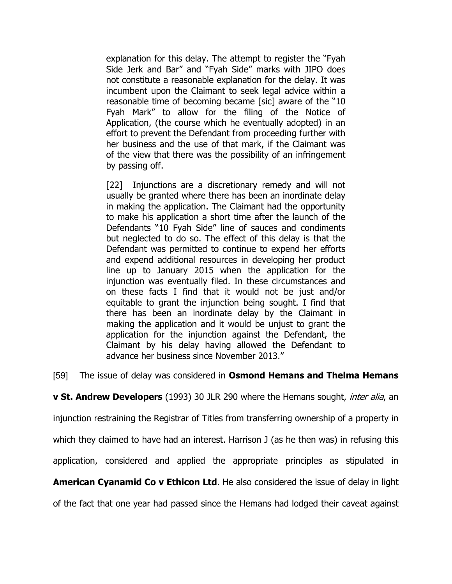explanation for this delay. The attempt to register the "Fyah Side Jerk and Bar" and "Fyah Side" marks with JIPO does not constitute a reasonable explanation for the delay. It was incumbent upon the Claimant to seek legal advice within a reasonable time of becoming became [sic] aware of the "10 Fyah Mark" to allow for the filing of the Notice of Application, (the course which he eventually adopted) in an effort to prevent the Defendant from proceeding further with her business and the use of that mark, if the Claimant was of the view that there was the possibility of an infringement by passing off.

[22] Injunctions are a discretionary remedy and will not usually be granted where there has been an inordinate delay in making the application. The Claimant had the opportunity to make his application a short time after the launch of the Defendants "10 Fyah Side" line of sauces and condiments but neglected to do so. The effect of this delay is that the Defendant was permitted to continue to expend her efforts and expend additional resources in developing her product line up to January 2015 when the application for the injunction was eventually filed. In these circumstances and on these facts I find that it would not be just and/or equitable to grant the injunction being sought. I find that there has been an inordinate delay by the Claimant in making the application and it would be unjust to grant the application for the injunction against the Defendant, the Claimant by his delay having allowed the Defendant to advance her business since November 2013."

# [59] The issue of delay was considered in **Osmond Hemans and Thelma Hemans**

**v St. Andrew Developers** (1993) 30 JLR 290 where the Hemans sought, *inter alia*, an

injunction restraining the Registrar of Titles from transferring ownership of a property in

which they claimed to have had an interest. Harrison J (as he then was) in refusing this

application, considered and applied the appropriate principles as stipulated in

American Cyanamid Co v Ethicon Ltd. He also considered the issue of delay in light

of the fact that one year had passed since the Hemans had lodged their caveat against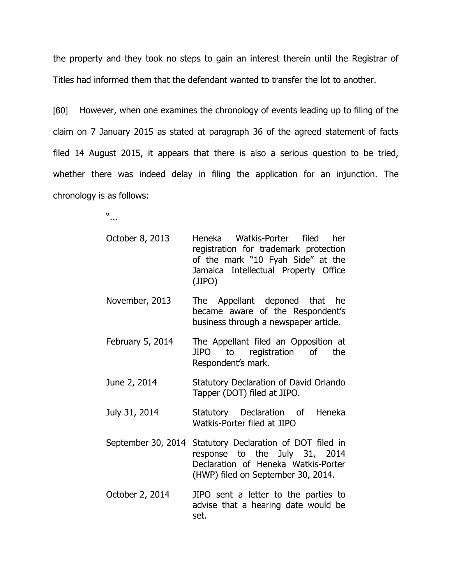the property and they took no steps to gain an interest therein until the Registrar of Titles had informed them that the defendant wanted to transfer the lot to another.

[60] However, when one examines the chronology of events leading up to filing of the claim on 7 January 2015 as stated at paragraph 36 of the agreed statement of facts filed 14 August 2015, it appears that there is also a serious question to be tried, whether there was indeed delay in filing the application for an injunction. The chronology is as follows:

"...

- October 8, 2013 Heneka Watkis-Porter filed her registration for trademark protection of the mark "10 Fyah Side" at the Jamaica Intellectual Property Office (JIPO)
- November, 2013 The Appellant deponed that he became aware of the Respondent's business through a newspaper article.
- February 5, 2014 The Appellant filed an Opposition at JIPO to registration of the Respondent's mark.
- June 2, 2014 Statutory Declaration of David Orlando Tapper (DOT) filed at JIPO.
- July 31, 2014 Statutory Declaration of Heneka Watkis-Porter filed at JIPO
- September 30, 2014 Statutory Declaration of DOT filed in response to the July 31, 2014 Declaration of Heneka Watkis-Porter (HWP) filed on September 30, 2014.
- October 2, 2014 JIPO sent a letter to the parties to advise that a hearing date would be set.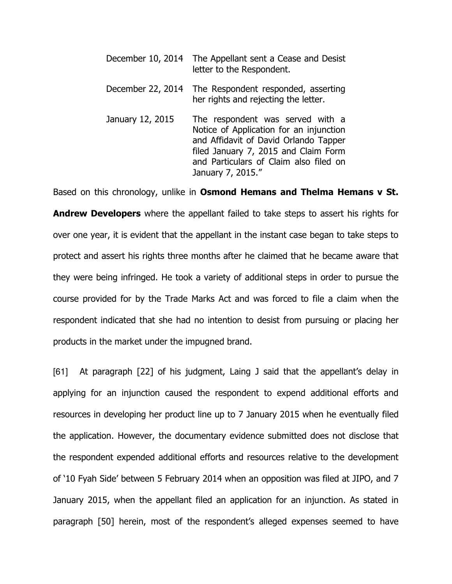| December 10, 2014 The Appellant sent a Cease and Desist |
|---------------------------------------------------------|
| letter to the Respondent.                               |

- December 22, 2014 The Respondent responded, asserting her rights and rejecting the letter.
- January 12, 2015 The respondent was served with a Notice of Application for an injunction and Affidavit of David Orlando Tapper filed January 7, 2015 and Claim Form and Particulars of Claim also filed on January 7, 2015."

Based on this chronology, unlike in **Osmond Hemans and Thelma Hemans v St.** 

**Andrew Developers** where the appellant failed to take steps to assert his rights for over one year, it is evident that the appellant in the instant case began to take steps to protect and assert his rights three months after he claimed that he became aware that they were being infringed. He took a variety of additional steps in order to pursue the course provided for by the Trade Marks Act and was forced to file a claim when the respondent indicated that she had no intention to desist from pursuing or placing her products in the market under the impugned brand.

[61] At paragraph [22] of his judgment, Laing J said that the appellant's delay in applying for an injunction caused the respondent to expend additional efforts and resources in developing her product line up to 7 January 2015 when he eventually filed the application. However, the documentary evidence submitted does not disclose that the respondent expended additional efforts and resources relative to the development of '10 Fyah Side' between 5 February 2014 when an opposition was filed at JIPO, and 7 January 2015, when the appellant filed an application for an injunction. As stated in paragraph [50] herein, most of the respondent's alleged expenses seemed to have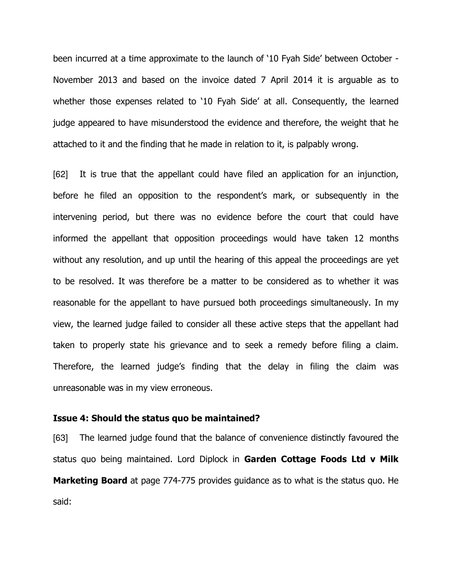been incurred at a time approximate to the launch of '10 Fyah Side' between October - November 2013 and based on the invoice dated 7 April 2014 it is arguable as to whether those expenses related to '10 Fyah Side' at all. Consequently, the learned judge appeared to have misunderstood the evidence and therefore, the weight that he attached to it and the finding that he made in relation to it, is palpably wrong.

[62] It is true that the appellant could have filed an application for an injunction, before he filed an opposition to the respondent's mark, or subsequently in the intervening period, but there was no evidence before the court that could have informed the appellant that opposition proceedings would have taken 12 months without any resolution, and up until the hearing of this appeal the proceedings are yet to be resolved. It was therefore be a matter to be considered as to whether it was reasonable for the appellant to have pursued both proceedings simultaneously. In my view, the learned judge failed to consider all these active steps that the appellant had taken to properly state his grievance and to seek a remedy before filing a claim. Therefore, the learned judge's finding that the delay in filing the claim was unreasonable was in my view erroneous.

## Issue 4: Should the status quo be maintained?

[63] The learned judge found that the balance of convenience distinctly favoured the status quo being maintained. Lord Diplock in Garden Cottage Foods Ltd v Milk **Marketing Board** at page 774-775 provides guidance as to what is the status guo. He said: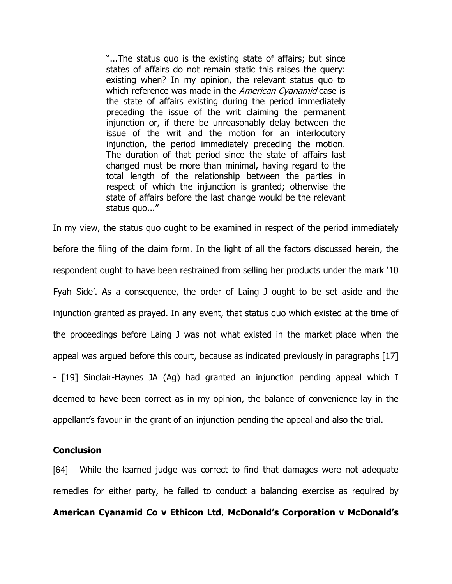"...The status quo is the existing state of affairs; but since states of affairs do not remain static this raises the query: existing when? In my opinion, the relevant status quo to which reference was made in the *American Cyanamid* case is the state of affairs existing during the period immediately preceding the issue of the writ claiming the permanent injunction or, if there be unreasonably delay between the issue of the writ and the motion for an interlocutory injunction, the period immediately preceding the motion. The duration of that period since the state of affairs last changed must be more than minimal, having regard to the total length of the relationship between the parties in respect of which the injunction is granted; otherwise the state of affairs before the last change would be the relevant status quo..."

In my view, the status quo ought to be examined in respect of the period immediately before the filing of the claim form. In the light of all the factors discussed herein, the respondent ought to have been restrained from selling her products under the mark '10 Fyah Side'. As a consequence, the order of Laing J ought to be set aside and the injunction granted as prayed. In any event, that status quo which existed at the time of the proceedings before Laing J was not what existed in the market place when the appeal was argued before this court, because as indicated previously in paragraphs [17] - [19] Sinclair-Haynes JA (Ag) had granted an injunction pending appeal which I deemed to have been correct as in my opinion, the balance of convenience lay in the

appellant's favour in the grant of an injunction pending the appeal and also the trial.

### **Conclusion**

[64] While the learned judge was correct to find that damages were not adequate remedies for either party, he failed to conduct a balancing exercise as required by American Cyanamid Co v Ethicon Ltd, McDonald's Corporation v McDonald's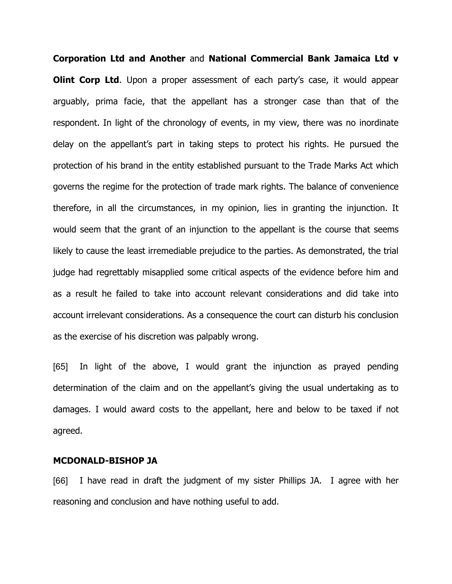Corporation Ltd and Another and National Commercial Bank Jamaica Ltd v **Olint Corp Ltd.** Upon a proper assessment of each party's case, it would appear arguably, prima facie, that the appellant has a stronger case than that of the respondent. In light of the chronology of events, in my view, there was no inordinate delay on the appellant's part in taking steps to protect his rights. He pursued the protection of his brand in the entity established pursuant to the Trade Marks Act which governs the regime for the protection of trade mark rights. The balance of convenience therefore, in all the circumstances, in my opinion, lies in granting the injunction. It would seem that the grant of an injunction to the appellant is the course that seems likely to cause the least irremediable prejudice to the parties. As demonstrated, the trial judge had regrettably misapplied some critical aspects of the evidence before him and as a result he failed to take into account relevant considerations and did take into account irrelevant considerations. As a consequence the court can disturb his conclusion as the exercise of his discretion was palpably wrong.

[65] In light of the above, I would grant the injunction as prayed pending determination of the claim and on the appellant's giving the usual undertaking as to damages. I would award costs to the appellant, here and below to be taxed if not agreed.

#### MCDONALD-BISHOP JA

[66] I have read in draft the judgment of my sister Phillips JA. I agree with her reasoning and conclusion and have nothing useful to add.